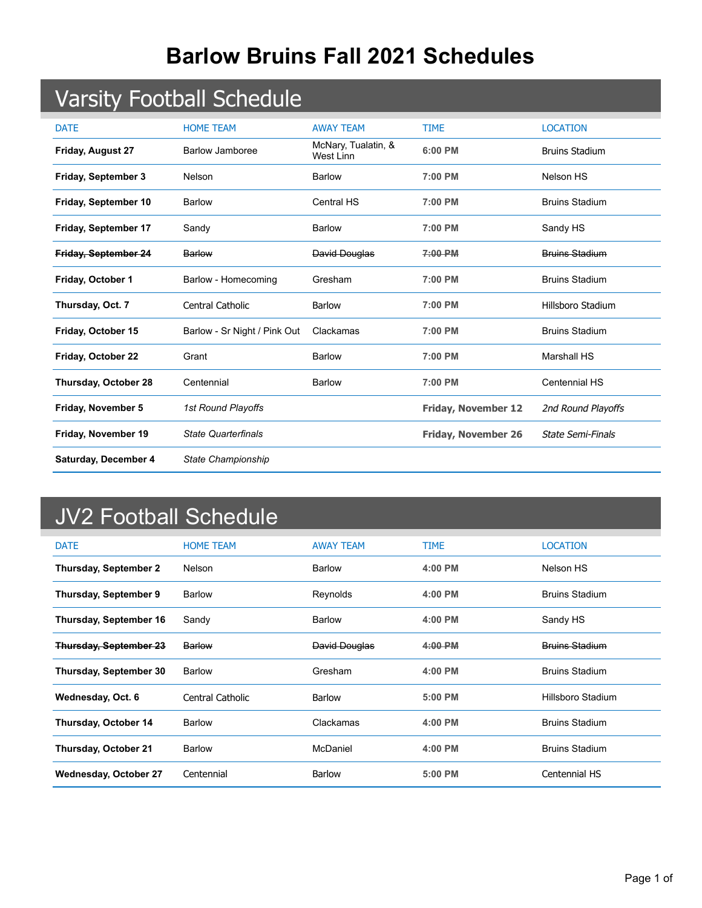## **Barlow Bruins Fall 2021 Schedules**

## Varsity Football Schedule

| <b>DATE</b>              | <b>HOME TEAM</b>             | <b>AWAY TEAM</b>                 | <b>TIME</b>                | <b>LOCATION</b>          |
|--------------------------|------------------------------|----------------------------------|----------------------------|--------------------------|
| <b>Friday, August 27</b> | <b>Barlow Jamboree</b>       | McNary, Tualatin, &<br>West Linn | 6:00 PM                    | <b>Bruins Stadium</b>    |
| Friday, September 3      | Nelson                       | <b>Barlow</b>                    | 7:00 PM                    | Nelson HS                |
| Friday, September 10     | <b>Barlow</b>                | <b>Central HS</b>                | 7:00 PM                    | <b>Bruins Stadium</b>    |
| Friday, September 17     | Sandy                        | <b>Barlow</b>                    | 7:00 PM                    | Sandy HS                 |
| Friday, September 24     | Barlow                       | David Douglas                    | $7:00$ PM                  | Bruins Stadium           |
| Friday, October 1        | Barlow - Homecoming          | Gresham                          | 7:00 PM                    | <b>Bruins Stadium</b>    |
| Thursday, Oct. 7         | Central Catholic             | <b>Barlow</b>                    | 7:00 PM                    | Hillsboro Stadium        |
| Friday, October 15       | Barlow - Sr Night / Pink Out | Clackamas                        | 7:00 PM                    | <b>Bruins Stadium</b>    |
| Friday, October 22       | Grant                        | <b>Barlow</b>                    | 7:00 PM                    | <b>Marshall HS</b>       |
| Thursday, October 28     | Centennial                   | <b>Barlow</b>                    | 7:00 PM                    | <b>Centennial HS</b>     |
| Friday, November 5       | 1st Round Playoffs           |                                  | Friday, November 12        | 2nd Round Playoffs       |
| Friday, November 19      | <b>State Quarterfinals</b>   |                                  | <b>Friday, November 26</b> | <b>State Semi-Finals</b> |
| Saturday, December 4     | State Championship           |                                  |                            |                          |

## JV2 Football Schedule

| <b>DATE</b>                   | <b>HOME TEAM</b> | <b>AWAY TEAM</b> | <b>TIME</b> | <b>LOCATION</b>       |
|-------------------------------|------------------|------------------|-------------|-----------------------|
| <b>Thursday, September 2</b>  | Nelson           | <b>Barlow</b>    | $4:00$ PM   | Nelson HS             |
| <b>Thursday, September 9</b>  | <b>Barlow</b>    | Reynolds         | $4:00$ PM   | <b>Bruins Stadium</b> |
| <b>Thursday, September 16</b> | Sandy            | Barlow           | 4:00 PM     | Sandy HS              |
| <b>Thursday, September 23</b> | Barlow           | David Douglas    | 4:00 PM     | <b>Bruins Stadium</b> |
| <b>Thursday, September 30</b> | <b>Barlow</b>    | Gresham          | $4:00$ PM   | <b>Bruins Stadium</b> |
| Wednesday, Oct. 6             | Central Catholic | Barlow           | $5:00$ PM   | Hillsboro Stadium     |
| Thursday, October 14          | <b>Barlow</b>    | Clackamas        | $4:00$ PM   | <b>Bruins Stadium</b> |
| <b>Thursday, October 21</b>   | <b>Barlow</b>    | McDaniel         | 4:00 PM     | <b>Bruins Stadium</b> |
| <b>Wednesday, October 27</b>  | Centennial       | <b>Barlow</b>    | 5:00 PM     | Centennial HS         |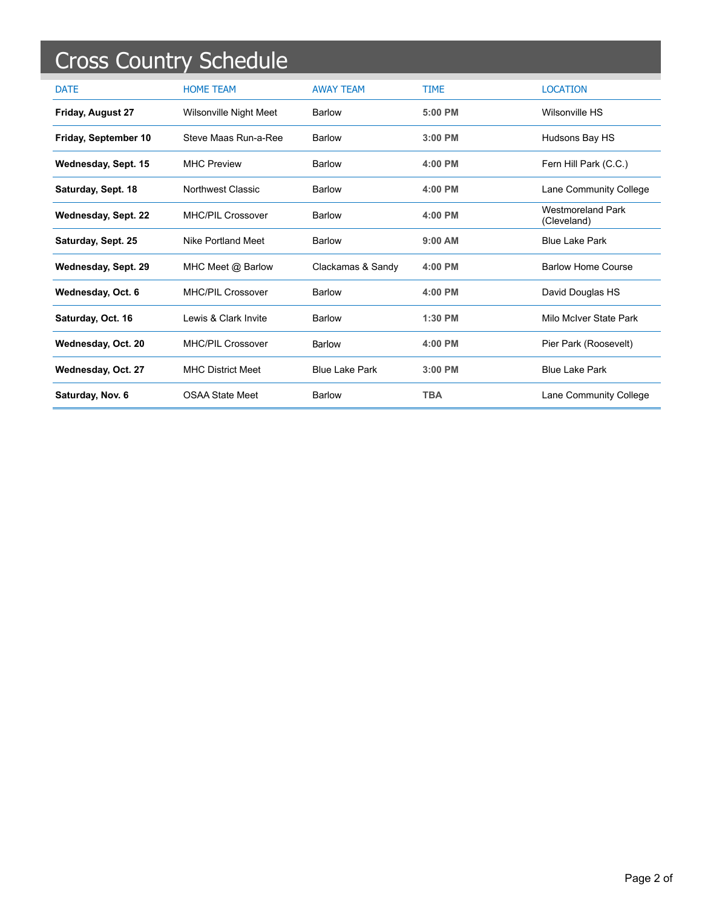|                      | <b>Cross Country Schedule</b> |                       |             |                                         |
|----------------------|-------------------------------|-----------------------|-------------|-----------------------------------------|
| <b>DATE</b>          | <b>HOME TEAM</b>              | <b>AWAY TEAM</b>      | <b>TIME</b> | <b>LOCATION</b>                         |
| Friday, August 27    | <b>Wilsonville Night Meet</b> | <b>Barlow</b>         | $5:00$ PM   | Wilsonville HS                          |
| Friday, September 10 | Steve Maas Run-a-Ree          | Barlow                | $3:00$ PM   | Hudsons Bay HS                          |
| Wednesday, Sept. 15  | <b>MHC Preview</b>            | <b>Barlow</b>         | $4:00$ PM   | Fern Hill Park (C.C.)                   |
| Saturday, Sept. 18   | Northwest Classic             | <b>Barlow</b>         | $4:00$ PM   | Lane Community College                  |
| Wednesday, Sept. 22  | <b>MHC/PIL Crossover</b>      | Barlow                | 4:00 PM     | <b>Westmoreland Park</b><br>(Cleveland) |
| Saturday, Sept. 25   | Nike Portland Meet            | Barlow                | $9:00$ AM   | <b>Blue Lake Park</b>                   |
| Wednesday, Sept. 29  | MHC Meet @ Barlow             | Clackamas & Sandy     | 4:00 PM     | <b>Barlow Home Course</b>               |
| Wednesday, Oct. 6    | <b>MHC/PIL Crossover</b>      | Barlow                | $4:00$ PM   | David Douglas HS                        |
| Saturday, Oct. 16    | Lewis & Clark Invite          | <b>Barlow</b>         | $1:30$ PM   | Milo McIver State Park                  |
| Wednesday, Oct. 20   | <b>MHC/PIL Crossover</b>      | Barlow                | $4:00$ PM   | Pier Park (Roosevelt)                   |
| Wednesday, Oct. 27   | <b>MHC District Meet</b>      | <b>Blue Lake Park</b> | $3:00$ PM   | <b>Blue Lake Park</b>                   |
| Saturday, Nov. 6     | <b>OSAA State Meet</b>        | Barlow                | <b>TBA</b>  | Lane Community College                  |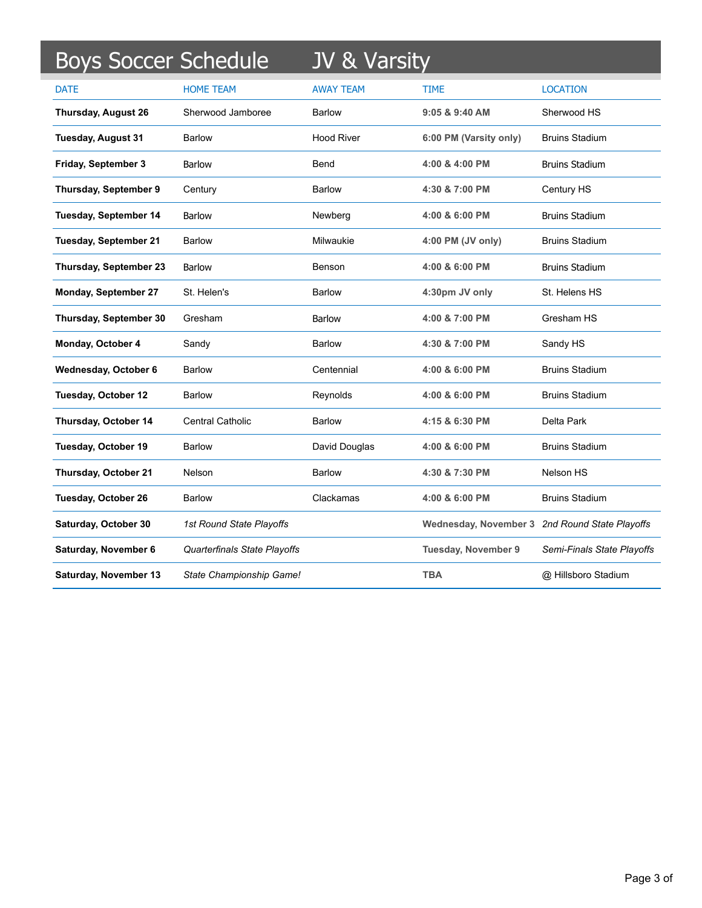| <b>Boys Soccer Schedule</b>  |                              | JV & Varsity      |                                                |                            |
|------------------------------|------------------------------|-------------------|------------------------------------------------|----------------------------|
| <b>DATE</b>                  | <b>HOME TEAM</b>             | <b>AWAY TEAM</b>  | TIME                                           | <b>LOCATION</b>            |
| <b>Thursday, August 26</b>   | Sherwood Jamboree            | <b>Barlow</b>     | 9:05 & 9:40 AM                                 | Sherwood HS                |
| Tuesday, August 31           | Barlow                       | <b>Hood River</b> | 6:00 PM (Varsity only)                         | <b>Bruins Stadium</b>      |
| Friday, September 3          | Barlow                       | Bend              | 4:00 & 4:00 PM                                 | <b>Bruins Stadium</b>      |
| Thursday, September 9        | Century                      | Barlow            | 4:30 & 7:00 PM                                 | Century HS                 |
| Tuesday, September 14        | <b>Barlow</b>                | Newberg           | 4:00 & 6:00 PM                                 | <b>Bruins Stadium</b>      |
| <b>Tuesday, September 21</b> | Barlow                       | Milwaukie         | 4:00 PM (JV only)                              | <b>Bruins Stadium</b>      |
| Thursday, September 23       | <b>Barlow</b>                | Benson            | 4:00 & 6:00 PM                                 | <b>Bruins Stadium</b>      |
| <b>Monday, September 27</b>  | St. Helen's                  | <b>Barlow</b>     | 4:30pm JV only                                 | St. Helens HS              |
| Thursday, September 30       | Gresham                      | <b>Barlow</b>     | 4:00 & 7:00 PM                                 | Gresham HS                 |
| Monday, October 4            | Sandy                        | <b>Barlow</b>     | 4:30 & 7:00 PM                                 | Sandy HS                   |
| Wednesday, October 6         | <b>Barlow</b>                | Centennial        | 4:00 & 6:00 PM                                 | <b>Bruins Stadium</b>      |
| Tuesday, October 12          | <b>Barlow</b>                | Reynolds          | 4:00 & 6:00 PM                                 | <b>Bruins Stadium</b>      |
| Thursday, October 14         | <b>Central Catholic</b>      | <b>Barlow</b>     | 4:15 & 6:30 PM                                 | Delta Park                 |
| Tuesday, October 19          | <b>Barlow</b>                | David Douglas     | 4:00 & 6:00 PM                                 | <b>Bruins Stadium</b>      |
| Thursday, October 21         | Nelson                       | <b>Barlow</b>     | 4:30 & 7:30 PM                                 | Nelson HS                  |
| <b>Tuesday, October 26</b>   | <b>Barlow</b>                | Clackamas         | 4:00 & 6:00 PM                                 | <b>Bruins Stadium</b>      |
| Saturday, October 30         | 1st Round State Playoffs     |                   | Wednesday, November 3 2nd Round State Playoffs |                            |
| Saturday, November 6         | Quarterfinals State Playoffs |                   | <b>Tuesday, November 9</b>                     | Semi-Finals State Playoffs |
| Saturday, November 13        | State Championship Game!     |                   | <b>TBA</b>                                     | @ Hillsboro Stadium        |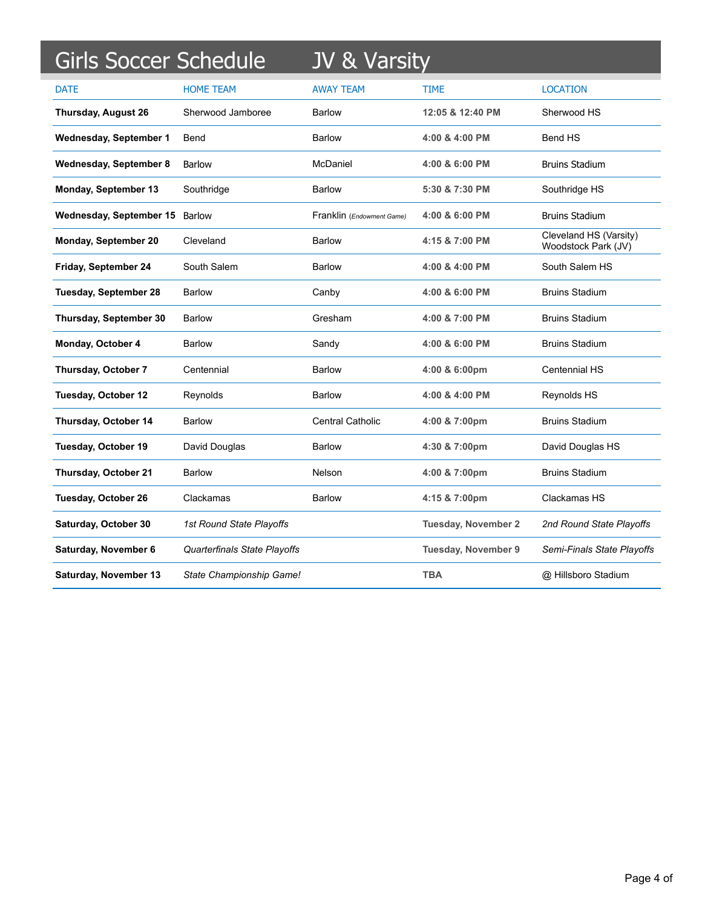| Girls Soccer Schedule         |                              | JV & Varsity              |                            |                                               |
|-------------------------------|------------------------------|---------------------------|----------------------------|-----------------------------------------------|
| <b>DATE</b>                   | <b>HOME TEAM</b>             | <b>AWAY TEAM</b>          | <b>TIME</b>                | <b>LOCATION</b>                               |
| <b>Thursday, August 26</b>    | Sherwood Jamboree            | Barlow                    | 12:05 & 12:40 PM           | Sherwood HS                                   |
| Wednesday, September 1        | Bend                         | <b>Barlow</b>             | 4:00 & 4:00 PM             | <b>Bend HS</b>                                |
| <b>Wednesday, September 8</b> | <b>Barlow</b>                | McDaniel                  | 4:00 & 6:00 PM             | <b>Bruins Stadium</b>                         |
| Monday, September 13          | Southridge                   | <b>Barlow</b>             | 5:30 & 7:30 PM             | Southridge HS                                 |
| Wednesday, September 15       | <b>Barlow</b>                | Franklin (Endowment Game) | 4:00 & 6:00 PM             | <b>Bruins Stadium</b>                         |
| Monday, September 20          | Cleveland                    | <b>Barlow</b>             | 4:15 & 7:00 PM             | Cleveland HS (Varsity)<br>Woodstock Park (JV) |
| Friday, September 24          | South Salem                  | Barlow                    | 4:00 & 4:00 PM             | South Salem HS                                |
| <b>Tuesday, September 28</b>  | Barlow                       | Canby                     | 4:00 & 6:00 PM             | <b>Bruins Stadium</b>                         |
| Thursday, September 30        | <b>Barlow</b>                | Gresham                   | 4:00 & 7:00 PM             | <b>Bruins Stadium</b>                         |
| Monday, October 4             | <b>Barlow</b>                | Sandy                     | 4:00 & 6:00 PM             | <b>Bruins Stadium</b>                         |
| Thursday, October 7           | Centennial                   | <b>Barlow</b>             | 4:00 & 6:00pm              | <b>Centennial HS</b>                          |
| <b>Tuesday, October 12</b>    | Reynolds                     | <b>Barlow</b>             | 4:00 & 4:00 PM             | Reynolds HS                                   |
| Thursday, October 14          | <b>Barlow</b>                | <b>Central Catholic</b>   | 4:00 & 7:00pm              | <b>Bruins Stadium</b>                         |
| Tuesday, October 19           | David Douglas                | <b>Barlow</b>             | 4:30 & 7:00pm              | David Douglas HS                              |
| Thursday, October 21          | Barlow                       | Nelson                    | 4:00 & 7:00pm              | <b>Bruins Stadium</b>                         |
| Tuesday, October 26           | Clackamas                    | <b>Barlow</b>             | 4:15 & 7:00pm              | Clackamas HS                                  |
| Saturday, October 30          | 1st Round State Playoffs     |                           | <b>Tuesday, November 2</b> | 2nd Round State Playoffs                      |
| Saturday, November 6          | Quarterfinals State Playoffs |                           | <b>Tuesday, November 9</b> | Semi-Finals State Playoffs                    |
| Saturday, November 13         | State Championship Game!     |                           | <b>TBA</b>                 | @ Hillsboro Stadium                           |

Ļ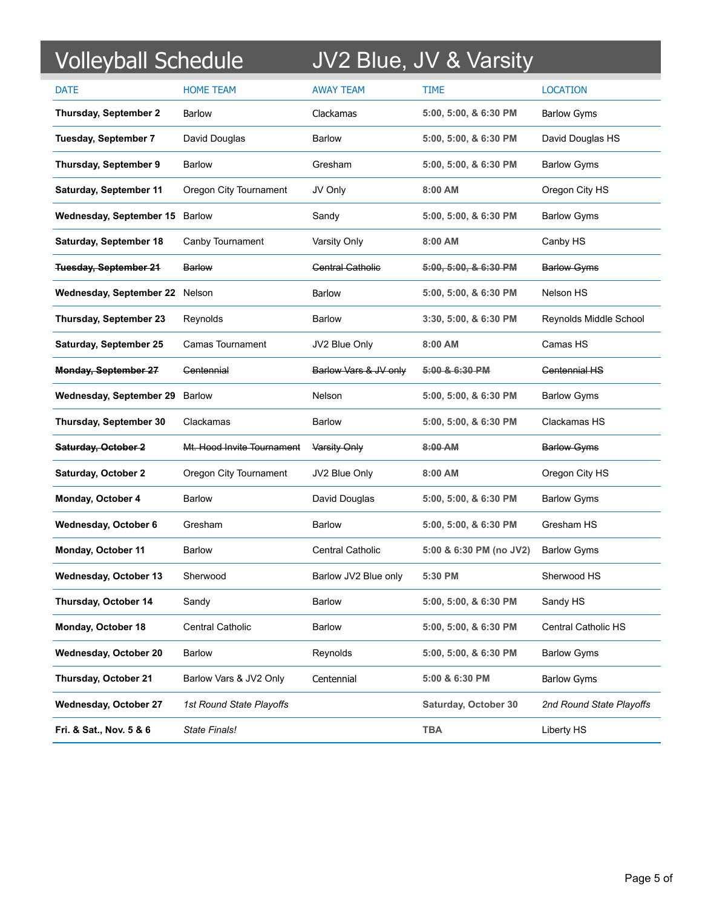| <b>Volleyball Schedule</b>     |                            |                         | JV2 Blue, JV & Varsity  |                            |
|--------------------------------|----------------------------|-------------------------|-------------------------|----------------------------|
| <b>DATE</b>                    | <b>HOME TEAM</b>           | <b>AWAY TEAM</b>        | TIME                    | <b>LOCATION</b>            |
| <b>Thursday, September 2</b>   | Barlow                     | Clackamas               | 5:00, 5:00, & 6:30 PM   | <b>Barlow Gyms</b>         |
| <b>Tuesday, September 7</b>    | David Douglas              | <b>Barlow</b>           | 5:00, 5:00, & 6:30 PM   | David Douglas HS           |
| Thursday, September 9          | <b>Barlow</b>              | Gresham                 | 5:00, 5:00, & 6:30 PM   | <b>Barlow Gyms</b>         |
| <b>Saturday, September 11</b>  | Oregon City Tournament     | JV Only                 | 8:00 AM                 | Oregon City HS             |
| Wednesday, September 15 Barlow |                            | Sandy                   | 5:00, 5:00, & 6:30 PM   | <b>Barlow Gyms</b>         |
| Saturday, September 18         | Canby Tournament           | Varsity Only            | 8:00 AM                 | Canby HS                   |
| <b>Tuesday, September 21</b>   | <b>Barlow</b>              | <b>Central Catholic</b> | 5:00, 5:00, & 6:30 PM   | <b>Barlow Gyms</b>         |
| Wednesday, September 22 Nelson |                            | <b>Barlow</b>           | 5:00, 5:00, & 6:30 PM   | Nelson HS                  |
| Thursday, September 23         | Reynolds                   | <b>Barlow</b>           | 3:30, 5:00, & 6:30 PM   | Reynolds Middle School     |
| Saturday, September 25         | Camas Tournament           | JV2 Blue Only           | 8:00 AM                 | Camas HS                   |
| <b>Monday, September 27</b>    | Centennial                 | Barlow Vars & JV only   | 5:00 & 6:30 PM          | <b>Centennial HS</b>       |
| Wednesday, September 29        | <b>Barlow</b>              | Nelson                  | 5:00, 5:00, & 6:30 PM   | <b>Barlow Gyms</b>         |
| Thursday, September 30         | Clackamas                  | <b>Barlow</b>           | 5:00, 5:00, & 6:30 PM   | Clackamas HS               |
| Saturday, October 2            | Mt. Hood Invite Tournament | Varsity Only            | 8:00 AM                 | <b>Barlow Gyms</b>         |
| <b>Saturday, October 2</b>     | Oregon City Tournament     | JV2 Blue Only           | $8:00$ AM               | Oregon City HS             |
| Monday, October 4              | Barlow                     | David Douglas           | 5:00, 5:00, & 6:30 PM   | <b>Barlow Gyms</b>         |
| Wednesday, October 6           | Gresham                    | <b>Barlow</b>           | 5:00, 5:00, & 6:30 PM   | Gresham HS                 |
| Monday, October 11             | Barlow                     | <b>Central Catholic</b> | 5:00 & 6:30 PM (no JV2) | <b>Barlow Gyms</b>         |
| <b>Wednesday, October 13</b>   | Sherwood                   | Barlow JV2 Blue only    | 5:30 PM                 | Sherwood HS                |
| Thursday, October 14           | Sandy                      | <b>Barlow</b>           | 5:00, 5:00, & 6:30 PM   | Sandy HS                   |
| Monday, October 18             | <b>Central Catholic</b>    | <b>Barlow</b>           | 5:00, 5:00, & 6:30 PM   | <b>Central Catholic HS</b> |
| <b>Wednesday, October 20</b>   | <b>Barlow</b>              | Reynolds                | 5:00, 5:00, & 6:30 PM   | <b>Barlow Gyms</b>         |
| Thursday, October 21           | Barlow Vars & JV2 Only     | Centennial              | 5:00 & 6:30 PM          | <b>Barlow Gyms</b>         |
| <b>Wednesday, October 27</b>   | 1st Round State Playoffs   |                         | Saturday, October 30    | 2nd Round State Playoffs   |
| Fri. & Sat., Nov. 5 & 6        | State Finals!              |                         | <b>TBA</b>              | Liberty HS                 |

Ļ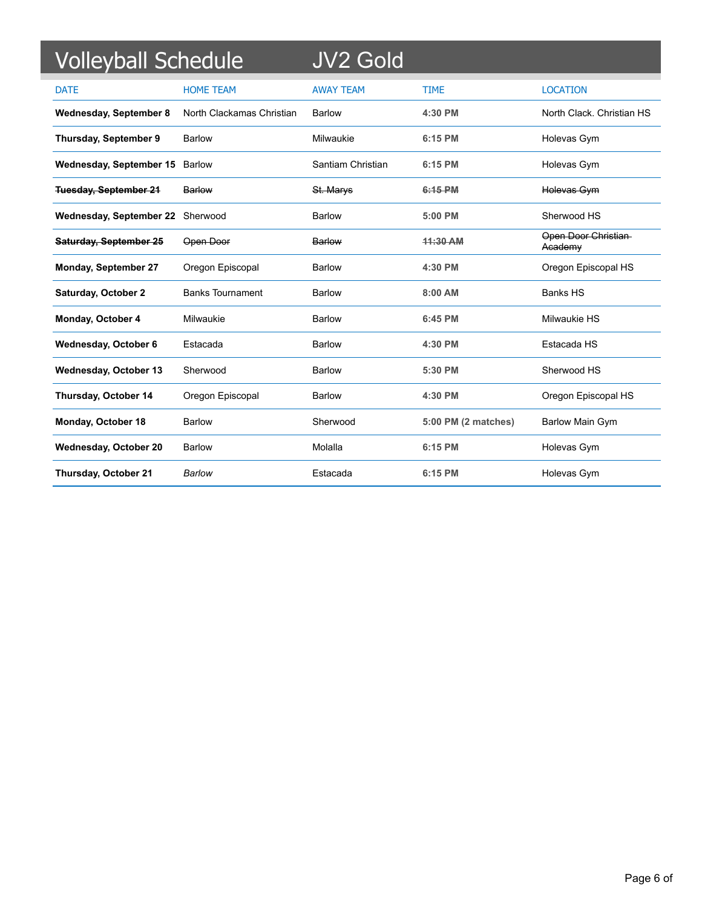| <b>Volleyball Schedule</b>       |                           | <b>JV2 Gold</b>   |                     |                                |
|----------------------------------|---------------------------|-------------------|---------------------|--------------------------------|
| <b>DATE</b>                      | <b>HOME TEAM</b>          | <b>AWAY TEAM</b>  | <b>TIME</b>         | <b>LOCATION</b>                |
| <b>Wednesday, September 8</b>    | North Clackamas Christian | Barlow            | 4:30 PM             | North Clack, Christian HS      |
| Thursday, September 9            | Barlow                    | Milwaukie         | 6:15 PM             | Holevas Gym                    |
| Wednesday, September 15          | Barlow                    | Santiam Christian | 6:15 PM             | Holevas Gym                    |
| <b>Tuesday, September 21</b>     | <b>Barlow</b>             | St. Marys         | 6:15 PM             | Holevas Gym                    |
| Wednesday, September 22 Sherwood |                           | Barlow            | 5:00 PM             | Sherwood HS                    |
| Saturday, September 25           | Open Door                 | Barlow            | 44:30 AM            | Open Door Christian<br>Academy |
| <b>Monday, September 27</b>      | Oregon Episcopal          | <b>Barlow</b>     | 4:30 PM             | Oregon Episcopal HS            |
| <b>Saturday, October 2</b>       | <b>Banks Tournament</b>   | Barlow            | 8:00 AM             | <b>Banks HS</b>                |
| Monday, October 4                | Milwaukie                 | Barlow            | 6:45 PM             | Milwaukie HS                   |
| Wednesday, October 6             | Estacada                  | <b>Barlow</b>     | 4:30 PM             | Estacada HS                    |
| Wednesday, October 13            | Sherwood                  | Barlow            | 5:30 PM             | Sherwood HS                    |
| Thursday, October 14             | Oregon Episcopal          | Barlow            | 4:30 PM             | Oregon Episcopal HS            |
| <b>Monday, October 18</b>        | Barlow                    | Sherwood          | 5:00 PM (2 matches) | <b>Barlow Main Gym</b>         |
| Wednesday, October 20            | <b>Barlow</b>             | Molalla           | 6:15 PM             | Holevas Gym                    |
| Thursday, October 21             | Barlow                    | Estacada          | 6:15 PM             | Holevas Gym                    |